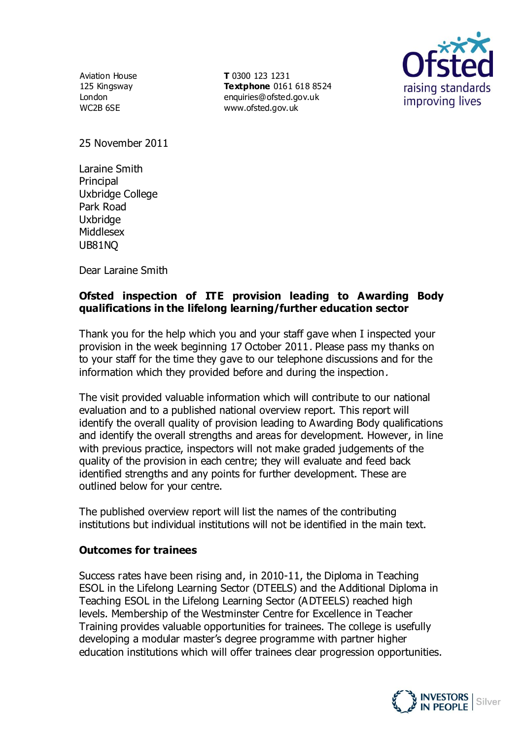Aviation House 125 Kingsway London WC2B 6SE

**T** 0300 123 1231 **Textphone** 0161 618 8524 enquiries@ofsted.gov.uk www.ofsted.gov.uk



25 November 2011

Laraine Smith Principal Uxbridge College Park Road **Uxbridge** Middlesex UB81NQ

Dear Laraine Smith

## **Ofsted inspection of ITE provision leading to Awarding Body qualifications in the lifelong learning/further education sector**

Thank you for the help which you and your staff gave when I inspected your provision in the week beginning 17 October 2011. Please pass my thanks on to your staff for the time they gave to our telephone discussions and for the information which they provided before and during the inspection.

The visit provided valuable information which will contribute to our national evaluation and to a published national overview report. This report will identify the overall quality of provision leading to Awarding Body qualifications and identify the overall strengths and areas for development. However, in line with previous practice, inspectors will not make graded judgements of the quality of the provision in each centre; they will evaluate and feed back identified strengths and any points for further development. These are outlined below for your centre.

The published overview report will list the names of the contributing institutions but individual institutions will not be identified in the main text.

## **Outcomes for trainees**

Success rates have been rising and, in 2010-11, the Diploma in Teaching ESOL in the Lifelong Learning Sector (DTEELS) and the Additional Diploma in Teaching ESOL in the Lifelong Learning Sector (ADTEELS) reached high levels. Membership of the Westminster Centre for Excellence in Teacher Training provides valuable opportunities for trainees. The college is usefully developing a modular master's degree programme with partner higher education institutions which will offer trainees clear progression opportunities.

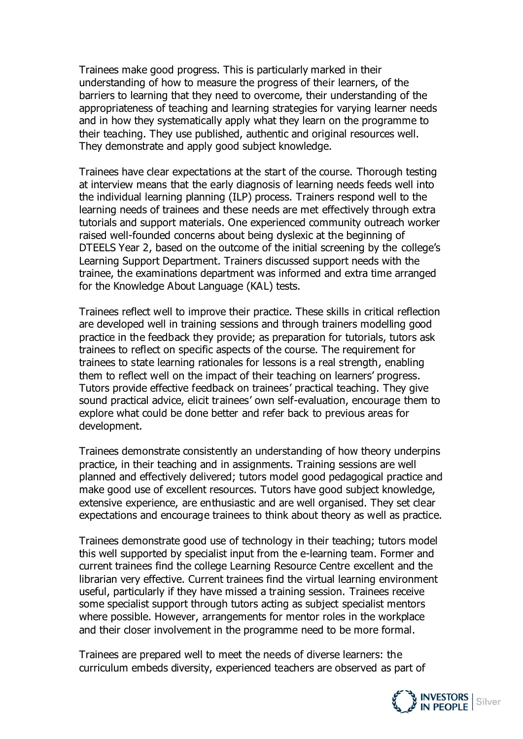Trainees make good progress. This is particularly marked in their understanding of how to measure the progress of their learners, of the barriers to learning that they need to overcome, their understanding of the appropriateness of teaching and learning strategies for varying learner needs and in how they systematically apply what they learn on the programme to their teaching. They use published, authentic and original resources well. They demonstrate and apply good subject knowledge.

Trainees have clear expectations at the start of the course. Thorough testing at interview means that the early diagnosis of learning needs feeds well into the individual learning planning (ILP) process. Trainers respond well to the learning needs of trainees and these needs are met effectively through extra tutorials and support materials. One experienced community outreach worker raised well-founded concerns about being dyslexic at the beginning of DTEELS Year 2, based on the outcome of the initial screening by the college's Learning Support Department. Trainers discussed support needs with the trainee, the examinations department was informed and extra time arranged for the Knowledge About Language (KAL) tests.

Trainees reflect well to improve their practice. These skills in critical reflection are developed well in training sessions and through trainers modelling good practice in the feedback they provide; as preparation for tutorials, tutors ask trainees to reflect on specific aspects of the course. The requirement for trainees to state learning rationales for lessons is a real strength, enabling them to reflect well on the impact of their teaching on learners' progress. Tutors provide effective feedback on trainees' practical teaching. They give sound practical advice, elicit trainees' own self-evaluation, encourage them to explore what could be done better and refer back to previous areas for development.

Trainees demonstrate consistently an understanding of how theory underpins practice, in their teaching and in assignments. Training sessions are well planned and effectively delivered; tutors model good pedagogical practice and make good use of excellent resources. Tutors have good subject knowledge, extensive experience, are enthusiastic and are well organised. They set clear expectations and encourage trainees to think about theory as well as practice.

Trainees demonstrate good use of technology in their teaching; tutors model this well supported by specialist input from the e-learning team. Former and current trainees find the college Learning Resource Centre excellent and the librarian very effective. Current trainees find the virtual learning environment useful, particularly if they have missed a training session. Trainees receive some specialist support through tutors acting as subject specialist mentors where possible. However, arrangements for mentor roles in the workplace and their closer involvement in the programme need to be more formal.

Trainees are prepared well to meet the needs of diverse learners: the curriculum embeds diversity, experienced teachers are observed as part of

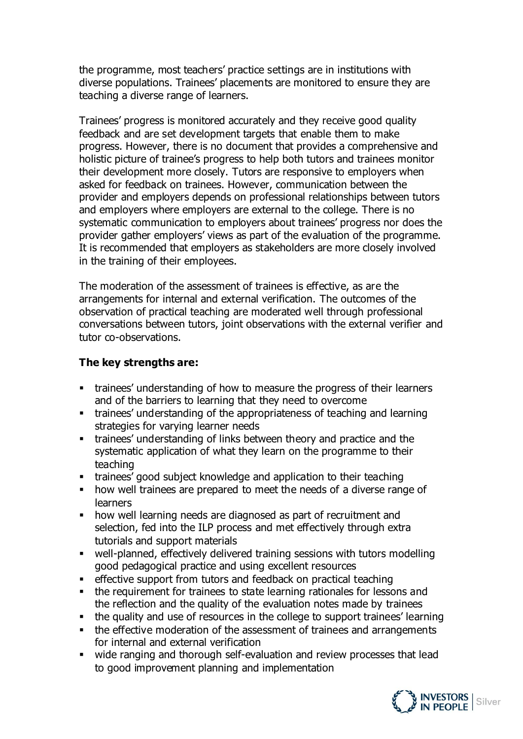the programme, most teachers' practice settings are in institutions with diverse populations. Trainees' placements are monitored to ensure they are teaching a diverse range of learners.

Trainees' progress is monitored accurately and they receive good quality feedback and are set development targets that enable them to make progress. However, there is no document that provides a comprehensive and holistic picture of trainee's progress to help both tutors and trainees monitor their development more closely. Tutors are responsive to employers when asked for feedback on trainees. However, communication between the provider and employers depends on professional relationships between tutors and employers where employers are external to the college. There is no systematic communication to employers about trainees' progress nor does the provider gather employers' views as part of the evaluation of the programme. It is recommended that employers as stakeholders are more closely involved in the training of their employees.

The moderation of the assessment of trainees is effective, as are the arrangements for internal and external verification. The outcomes of the observation of practical teaching are moderated well through professional conversations between tutors, joint observations with the external verifier and tutor co-observations.

## **The key strengths are:**

- trainees' understanding of how to measure the progress of their learners and of the barriers to learning that they need to overcome
- trainees' understanding of the appropriateness of teaching and learning strategies for varying learner needs
- trainees' understanding of links between theory and practice and the systematic application of what they learn on the programme to their teaching
- trainees' good subject knowledge and application to their teaching
- how well trainees are prepared to meet the needs of a diverse range of learners
- how well learning needs are diagnosed as part of recruitment and selection, fed into the ILP process and met effectively through extra tutorials and support materials
- well-planned, effectively delivered training sessions with tutors modelling good pedagogical practice and using excellent resources
- effective support from tutors and feedback on practical teaching
- the requirement for trainees to state learning rationales for lessons and the reflection and the quality of the evaluation notes made by trainees
- the quality and use of resources in the college to support trainees' learning
- the effective moderation of the assessment of trainees and arrangements for internal and external verification
- wide ranging and thorough self-evaluation and review processes that lead to good improvement planning and implementation